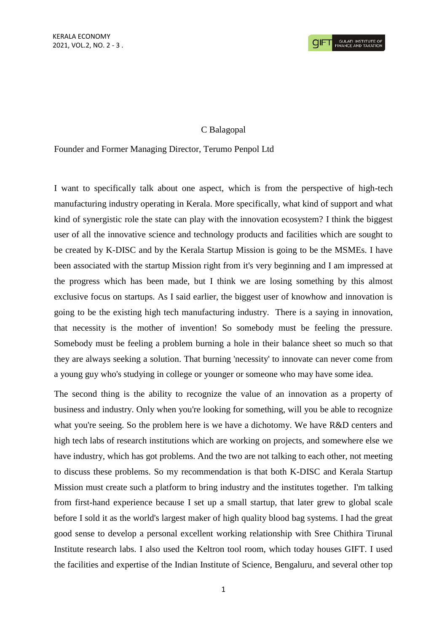## C Balagopal

## Founder and Former Managing Director, Terumo Penpol Ltd

I want to specifically talk about one aspect, which is from the perspective of high-tech manufacturing industry operating in Kerala. More specifically, what kind of support and what kind of synergistic role the state can play with the innovation ecosystem? I think the biggest user of all the innovative science and technology products and facilities which are sought to be created by K-DISC and by the Kerala Startup Mission is going to be the MSMEs. I have been associated with the startup Mission right from it's very beginning and I am impressed at the progress which has been made, but I think we are losing something by this almost exclusive focus on startups. As I said earlier, the biggest user of knowhow and innovation is going to be the existing high tech manufacturing industry. There is a saying in innovation, that necessity is the mother of invention! So somebody must be feeling the pressure. Somebody must be feeling a problem burning a hole in their balance sheet so much so that they are always seeking a solution. That burning 'necessity' to innovate can never come from a young guy who's studying in college or younger or someone who may have some idea.

The second thing is the ability to recognize the value of an innovation as a property of business and industry. Only when you're looking for something, will you be able to recognize what you're seeing. So the problem here is we have a dichotomy. We have R&D centers and high tech labs of research institutions which are working on projects, and somewhere else we have industry, which has got problems. And the two are not talking to each other, not meeting to discuss these problems. So my recommendation is that both K-DISC and Kerala Startup Mission must create such a platform to bring industry and the institutes together. I'm talking from first-hand experience because I set up a small startup, that later grew to global scale before I sold it as the world's largest maker of high quality blood bag systems. I had the great good sense to develop a personal excellent working relationship with Sree Chithira Tirunal Institute research labs. I also used the Keltron tool room, which today houses GIFT. I used the facilities and expertise of the Indian Institute of Science, Bengaluru, and several other top